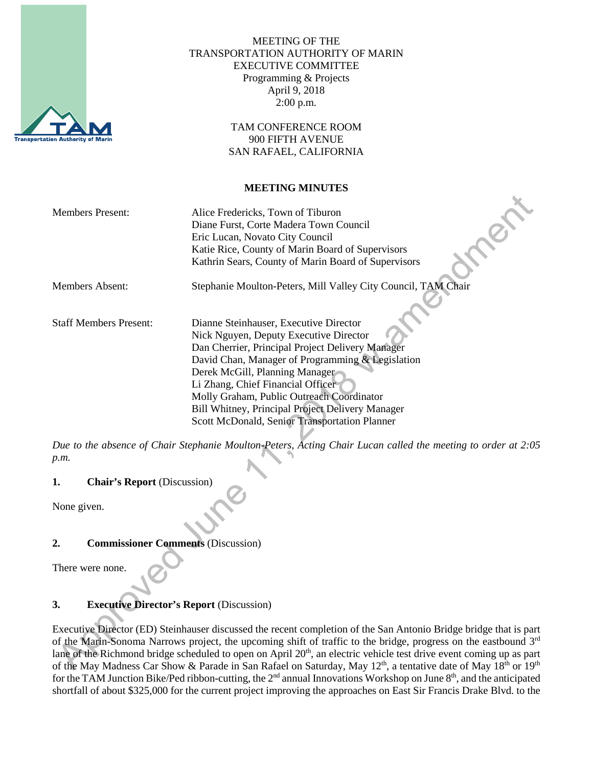

### MEETING OF THE TRANSPORTATION AUTHORITY OF MARIN EXECUTIVE COMMITTEE Programming & Projects April 9, 2018 2:00 p.m.

TAM CONFERENCE ROOM 900 FIFTH AVENUE SAN RAFAEL, CALIFORNIA

#### **MEETING MINUTES**

₩

| <b>Members Present:</b>       | Alice Fredericks, Town of Tiburon<br>Diane Furst, Corte Madera Town Council<br>Eric Lucan, Novato City Council<br>Katie Rice, County of Marin Board of Supervisors<br>Kathrin Sears, County of Marin Board of Supervisors                                                                                                                                                                                         |
|-------------------------------|-------------------------------------------------------------------------------------------------------------------------------------------------------------------------------------------------------------------------------------------------------------------------------------------------------------------------------------------------------------------------------------------------------------------|
| Members Absent:               | Stephanie Moulton-Peters, Mill Valley City Council, TAM Chair                                                                                                                                                                                                                                                                                                                                                     |
| <b>Staff Members Present:</b> | Dianne Steinhauser, Executive Director<br>Nick Nguyen, Deputy Executive Director<br>Dan Cherrier, Principal Project Delivery Manager<br>David Chan, Manager of Programming & Legislation<br>Derek McGill, Planning Manager<br>Li Zhang, Chief Financial Officer<br>Molly Graham, Public Outreach Coordinator<br>Bill Whitney, Principal Project Delivery Manager<br>Scott McDonald, Senior Transportation Planner |

*Due to the absence of Chair Stephanie Moulton-Peters, Acting Chair Lucan called the meeting to order at 2:05 p.m.*

# **1. Chair's Report** (Discussion)

None given.

# **2. Commissioner Comments** (Discussion)

There were none.

# **3. Executive Director's Report** (Discussion)

Executive Director (ED) Steinhauser discussed the recent completion of the San Antonio Bridge bridge that is part of the Marin-Sonoma Narrows project, the upcoming shift of traffic to the bridge, progress on the eastbound 3rd lane of the Richmond bridge scheduled to open on April 20<sup>th</sup>, an electric vehicle test drive event coming up as part of the May Madness Car Show & Parade in San Rafael on Saturday, May 12<sup>th</sup>, a tentative date of May 18<sup>th</sup> or 19<sup>th</sup> for the TAM Junction Bike/Ped ribbon-cutting, the 2<sup>nd</sup> annual Innovations Workshop on June 8<sup>th</sup>, and the anticipated shortfall of about \$325,000 for the current project improving the approaches on East Sir Francis Drake Blvd. to the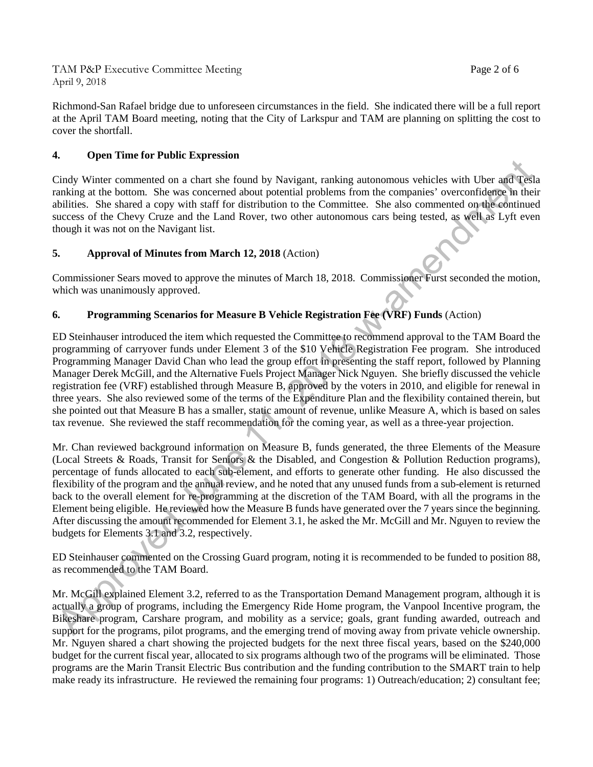TAM P&P Executive Committee Meeting Page 2 of 6 April 9, 2018

Richmond-San Rafael bridge due to unforeseen circumstances in the field. She indicated there will be a full report at the April TAM Board meeting, noting that the City of Larkspur and TAM are planning on splitting the cost to cover the shortfall.

#### **4. Open Time for Public Expression**

Cindy Winter commented on a chart she found by Navigant, ranking autonomous vehicles with Uber and Tesla ranking at the bottom. She was concerned about potential problems from the companies' overconfidence in their abilities. She shared a copy with staff for distribution to the Committee. She also commented on the continued success of the Chevy Cruze and the Land Rover, two other autonomous cars being tested, as well as Lyft even though it was not on the Navigant list.

#### **5. Approval of Minutes from March 12, 2018** (Action)

Commissioner Sears moved to approve the minutes of March 18, 2018. Commissioner Furst seconded the motion, which was unanimously approved.

# **6. Programming Scenarios for Measure B Vehicle Registration Fee (VRF) Funds** (Action)

ED Steinhauser introduced the item which requested the Committee to recommend approval to the TAM Board the programming of carryover funds under Element 3 of the \$10 Vehicle Registration Fee program. She introduced Programming Manager David Chan who lead the group effort in presenting the staff report, followed by Planning Manager Derek McGill, and the Alternative Fuels Project Manager Nick Nguyen. She briefly discussed the vehicle registration fee (VRF) established through Measure B, approved by the voters in 2010, and eligible for renewal in three years. She also reviewed some of the terms of the Expenditure Plan and the flexibility contained therein, but she pointed out that Measure B has a smaller, static amount of revenue, unlike Measure A, which is based on sales tax revenue. She reviewed the staff recommendation for the coming year, as well as a three-year projection.

Mr. Chan reviewed background information on Measure B, funds generated, the three Elements of the Measure (Local Streets & Roads, Transit for Seniors & the Disabled, and Congestion & Pollution Reduction programs), percentage of funds allocated to each sub-element, and efforts to generate other funding. He also discussed the flexibility of the program and the annual review, and he noted that any unused funds from a sub-element is returned back to the overall element for re-programming at the discretion of the TAM Board, with all the programs in the Element being eligible. He reviewed how the Measure B funds have generated over the 7 years since the beginning. After discussing the amount recommended for Element 3.1, he asked the Mr. McGill and Mr. Nguyen to review the budgets for Elements 3.1 and 3.2, respectively.

ED Steinhauser commented on the Crossing Guard program, noting it is recommended to be funded to position 88, as recommended to the TAM Board.

Mr. McGill explained Element 3.2, referred to as the Transportation Demand Management program, although it is actually a group of programs, including the Emergency Ride Home program, the Vanpool Incentive program, the Bikeshare program, Carshare program, and mobility as a service; goals, grant funding awarded, outreach and support for the programs, pilot programs, and the emerging trend of moving away from private vehicle ownership. Mr. Nguyen shared a chart showing the projected budgets for the next three fiscal years, based on the \$240,000 budget for the current fiscal year, allocated to six programs although two of the programs will be eliminated. Those programs are the Marin Transit Electric Bus contribution and the funding contribution to the SMART train to help make ready its infrastructure. He reviewed the remaining four programs: 1) Outreach/education; 2) consultant fee;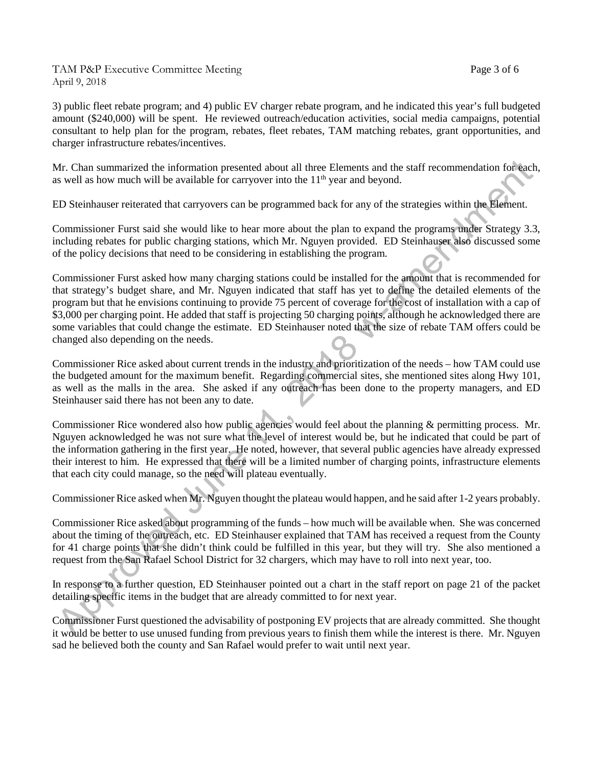TAM P&P Executive Committee Meeting Page 3 of 6 April 9, 2018

3) public fleet rebate program; and 4) public EV charger rebate program, and he indicated this year's full budgeted amount (\$240,000) will be spent. He reviewed outreach/education activities, social media campaigns, potential consultant to help plan for the program, rebates, fleet rebates, TAM matching rebates, grant opportunities, and charger infrastructure rebates/incentives.

Mr. Chan summarized the information presented about all three Elements and the staff recommendation for each, as well as how much will be available for carryover into the  $11<sup>th</sup>$  year and beyond.

ED Steinhauser reiterated that carryovers can be programmed back for any of the strategies within the Element.

Commissioner Furst said she would like to hear more about the plan to expand the programs under Strategy 3.3, including rebates for public charging stations, which Mr. Nguyen provided. ED Steinhauser also discussed some of the policy decisions that need to be considering in establishing the program.

Commissioner Furst asked how many charging stations could be installed for the amount that is recommended for that strategy's budget share, and Mr. Nguyen indicated that staff has yet to define the detailed elements of the program but that he envisions continuing to provide 75 percent of coverage for the cost of installation with a cap of \$3,000 per charging point. He added that staff is projecting 50 charging points, although he acknowledged there are some variables that could change the estimate. ED Steinhauser noted that the size of rebate TAM offers could be changed also depending on the needs.

Commissioner Rice asked about current trends in the industry and prioritization of the needs – how TAM could use the budgeted amount for the maximum benefit. Regarding commercial sites, she mentioned sites along Hwy 101, as well as the malls in the area. She asked if any outreach has been done to the property managers, and ED Steinhauser said there has not been any to date.

Commissioner Rice wondered also how public agencies would feel about the planning & permitting process. Mr. Nguyen acknowledged he was not sure what the level of interest would be, but he indicated that could be part of the information gathering in the first year. He noted, however, that several public agencies have already expressed their interest to him. He expressed that there will be a limited number of charging points, infrastructure elements that each city could manage, so the need will plateau eventually.

Commissioner Rice asked when Mr. Nguyen thought the plateau would happen, and he said after 1-2 years probably.

Commissioner Rice asked about programming of the funds – how much will be available when. She was concerned about the timing of the outreach, etc. ED Steinhauser explained that TAM has received a request from the County for 41 charge points that she didn't think could be fulfilled in this year, but they will try. She also mentioned a request from the San Rafael School District for 32 chargers, which may have to roll into next year, too.

In response to a further question, ED Steinhauser pointed out a chart in the staff report on page 21 of the packet detailing specific items in the budget that are already committed to for next year.

Commissioner Furst questioned the advisability of postponing EV projects that are already committed. She thought it would be better to use unused funding from previous years to finish them while the interest is there. Mr. Nguyen sad he believed both the county and San Rafael would prefer to wait until next year.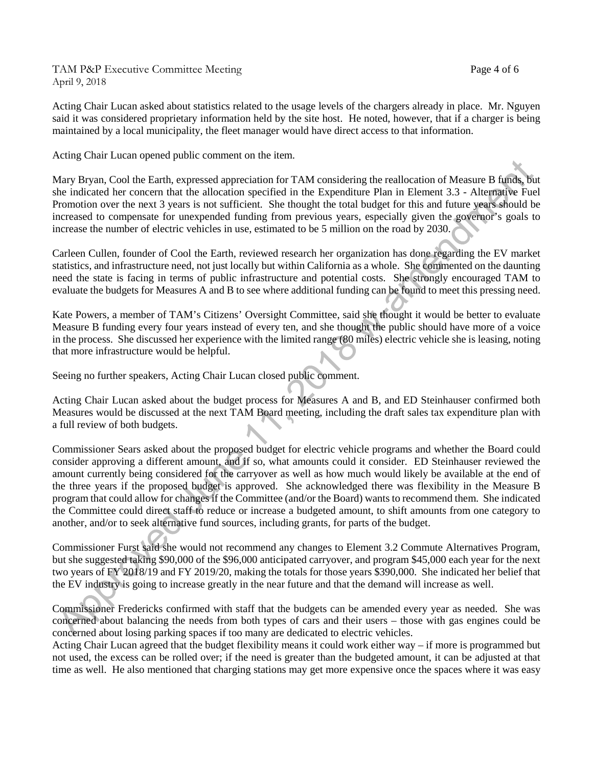TAM P&P Executive Committee Meeting Page 4 of 6 April 9, 2018

Acting Chair Lucan asked about statistics related to the usage levels of the chargers already in place. Mr. Nguyen said it was considered proprietary information held by the site host. He noted, however, that if a charger is being

Acting Chair Lucan opened public comment on the item.

Mary Bryan, Cool the Earth, expressed appreciation for TAM considering the reallocation of Measure B funds, but she indicated her concern that the allocation specified in the Expenditure Plan in Element 3.3 - Alternative Fuel Promotion over the next 3 years is not sufficient. She thought the total budget for this and future years should be increased to compensate for unexpended funding from previous years, especially given the governor's goals to increase the number of electric vehicles in use, estimated to be 5 million on the road by 2030.

maintained by a local municipality, the fleet manager would have direct access to that information.

Carleen Cullen, founder of Cool the Earth, reviewed research her organization has done regarding the EV market statistics, and infrastructure need, not just locally but within California as a whole. She commented on the daunting need the state is facing in terms of public infrastructure and potential costs. She strongly encouraged TAM to evaluate the budgets for Measures A and B to see where additional funding can be found to meet this pressing need.

Kate Powers, a member of TAM's Citizens' Oversight Committee, said she thought it would be better to evaluate Measure B funding every four years instead of every ten, and she thought the public should have more of a voice in the process. She discussed her experience with the limited range (80 miles) electric vehicle she is leasing, noting that more infrastructure would be helpful.

Seeing no further speakers, Acting Chair Lucan closed public comment.

Acting Chair Lucan asked about the budget process for Measures A and B, and ED Steinhauser confirmed both Measures would be discussed at the next TAM Board meeting, including the draft sales tax expenditure plan with a full review of both budgets.

Commissioner Sears asked about the proposed budget for electric vehicle programs and whether the Board could consider approving a different amount, and if so, what amounts could it consider. ED Steinhauser reviewed the amount currently being considered for the carryover as well as how much would likely be available at the end of the three years if the proposed budget is approved. She acknowledged there was flexibility in the Measure B program that could allow for changes if the Committee (and/or the Board) wants to recommend them. She indicated the Committee could direct staff to reduce or increase a budgeted amount, to shift amounts from one category to another, and/or to seek alternative fund sources, including grants, for parts of the budget.

Commissioner Furst said she would not recommend any changes to Element 3.2 Commute Alternatives Program, but she suggested taking \$90,000 of the \$96,000 anticipated carryover, and program \$45,000 each year for the next two years of FY 2018/19 and FY 2019/20, making the totals for those years \$390,000. She indicated her belief that the EV industry is going to increase greatly in the near future and that the demand will increase as well.

Commissioner Fredericks confirmed with staff that the budgets can be amended every year as needed. She was concerned about balancing the needs from both types of cars and their users – those with gas engines could be concerned about losing parking spaces if too many are dedicated to electric vehicles.

Acting Chair Lucan agreed that the budget flexibility means it could work either way – if more is programmed but not used, the excess can be rolled over; if the need is greater than the budgeted amount, it can be adjusted at that time as well. He also mentioned that charging stations may get more expensive once the spaces where it was easy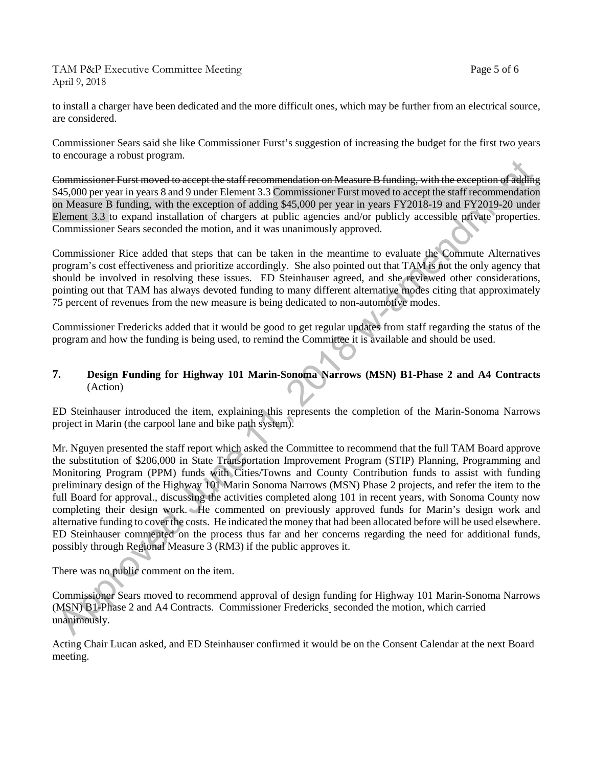TAM P&P Executive Committee Meeting Page 5 of 6 April 9, 2018

to install a charger have been dedicated and the more difficult ones, which may be further from an electrical source, are considered.

Commissioner Sears said she like Commissioner Furst's suggestion of increasing the budget for the first two years to encourage a robust program.

Commissioner Furst moved to accept the staff recommendation on Measure B funding, with the exception of adding \$45,000 per year in years 8 and 9 under Element 3.3 Commissioner Furst moved to accept the staff recommendation on Measure B funding, with the exception of adding \$45,000 per year in years FY2018-19 and FY2019-20 under Element 3.3 to expand installation of chargers at public agencies and/or publicly accessible private properties. Commissioner Sears seconded the motion, and it was unanimously approved.

Commissioner Rice added that steps that can be taken in the meantime to evaluate the Commute Alternatives program's cost effectiveness and prioritize accordingly. She also pointed out that TAM is not the only agency that should be involved in resolving these issues. ED Steinhauser agreed, and she reviewed other considerations, pointing out that TAM has always devoted funding to many different alternative modes citing that approximately 75 percent of revenues from the new measure is being dedicated to non-automotive modes.

Commissioner Fredericks added that it would be good to get regular updates from staff regarding the status of the program and how the funding is being used, to remind the Committee it is available and should be used.

### **7. Design Funding for Highway 101 Marin-Sonoma Narrows (MSN) B1-Phase 2 and A4 Contracts** (Action)

ED Steinhauser introduced the item, explaining this represents the completion of the Marin-Sonoma Narrows project in Marin (the carpool lane and bike path system).

Mr. Nguyen presented the staff report which asked the Committee to recommend that the full TAM Board approve the substitution of \$206,000 in State Transportation Improvement Program (STIP) Planning, Programming and Monitoring Program (PPM) funds with Cities/Towns and County Contribution funds to assist with funding preliminary design of the Highway 101 Marin Sonoma Narrows (MSN) Phase 2 projects, and refer the item to the full Board for approval., discussing the activities completed along 101 in recent years, with Sonoma County now completing their design work. He commented on previously approved funds for Marin's design work and alternative funding to cover the costs. He indicated the money that had been allocated before will be used elsewhere. ED Steinhauser commented on the process thus far and her concerns regarding the need for additional funds, possibly through Regional Measure 3 (RM3) if the public approves it.

There was no public comment on the item.

Commissioner Sears moved to recommend approval of design funding for Highway 101 Marin-Sonoma Narrows (MSN) B1-Phase 2 and A4 Contracts. Commissioner Fredericks seconded the motion, which carried unanimously.

Acting Chair Lucan asked, and ED Steinhauser confirmed it would be on the Consent Calendar at the next Board meeting.